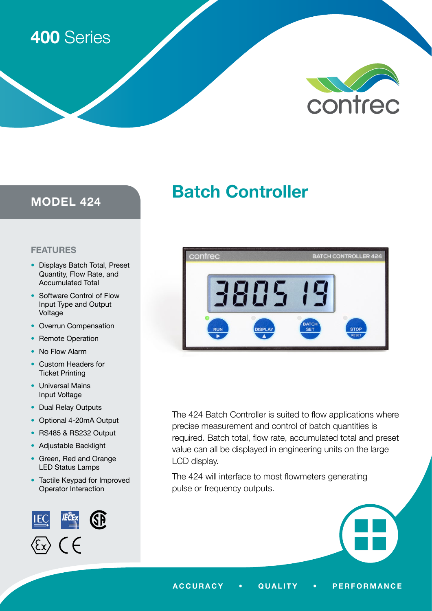# 400 Series



# MODEL 424

# Batch Controller

# FEATURES

- Displays Batch Total, Preset Quantity, Flow Rate, and Accumulated Total
- Software Control of Flow Input Type and Output Voltage
- Overrun Compensation
- Remote Operation
- No Flow Alarm
- Custom Headers for Ticket Printing
- Universal Mains Input Voltage
- Dual Relay Outputs
- Optional 4-20mA Output
- RS485 & RS232 Output
- Adjustable Backlight
- Green, Red and Orange LED Status Lamps
- Tactile Keypad for Improved Operator Interaction





The 424 Batch Controller is suited to flow applications where precise measurement and control of batch quantities is required. Batch total, flow rate, accumulated total and preset value can all be displayed in engineering units on the large LCD display.

The 424 will interface to most flowmeters generating pulse or frequency outputs.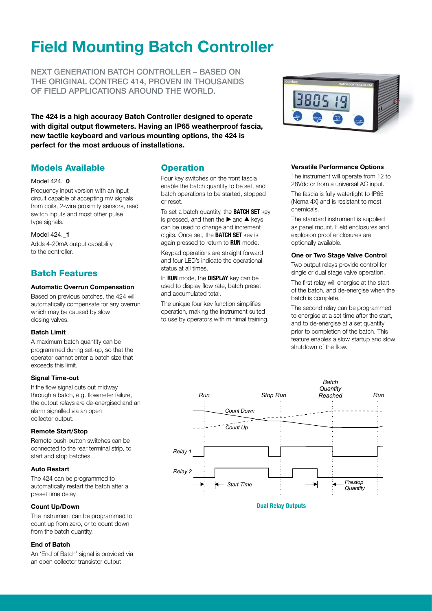# Field Mounting Batch Controller

NEXT GENERATION BATCH CONTROLLER – BASED ON THE ORIGINAL CONTREC 414, PROVEN IN THOUSANDS OF FIELD APPLICATIONS AROUND THE WORLD.

The 424 is a high accuracy Batch Controller designed to operate with digital output flowmeters. Having an IP65 weatherproof fascia, new tactile keyboard and various mounting options, the 424 is perfect for the most arduous of installations.

# Models Available

## Model 424. **0**

Frequency input version with an input circuit capable of accepting mV signals from coils, 2-wire proximity sensors, reed switch inputs and most other pulse type signals.

# Model 424.\_1

Adds 4-20mA output capability to the controller.

# Batch Features

## Automatic Overrun Compensation

Based on previous batches, the 424 will automatically compensate for any overrun which may be caused by slow closing valves.

# Batch Limit

A maximum batch quantity can be programmed during set-up, so that the operator cannot enter a batch size that exceeds this limit.

### Signal Time-out

If the flow signal cuts out midway through a batch, e.g. flowmeter failure, the output relays are de-energised and an alarm signalled via an open collector output.

# Remote Start/Stop

Remote push-button switches can be connected to the rear terminal strip, to start and stop batches.

# Auto Restart

The 424 can be programmed to automatically restart the batch after a preset time delay.

# Count Up/Down

The instrument can be programmed to count up from zero, or to count down from the batch quantity.

# End of Batch

An 'End of Batch' signal is provided via an open collector transistor output

# **Operation**

Four key switches on the front fascia enable the batch quantity to be set, and batch operations to be started, stopped or reset.

To set a batch quantity, the **BATCH SET** key is pressed, and then the  $\blacktriangleright$  and  $\blacktriangle$  keys can be used to change and increment digits. Once set, the **BATCH SET** key is again pressed to return to RUN mode.

Keypad operations are straight forward and four LED's indicate the operational status at all times.

In RUN mode, the DISPLAY key can be used to display flow rate, batch preset and accumulated total.

The unique four key function simplifies operation, making the instrument suited to use by operators with minimal training.



## Versatile Performance Options

The instrument will operate from 12 to 28Vdc or from a universal AC input.

The fascia is fully watertight to IP65 (Nema 4X) and is resistant to most chemicals.

The standard instrument is supplied as panel mount. Field enclosures and explosion proof enclosures are optionally available.

## One or Two Stage Valve Control

Two output relays provide control for single or dual stage valve operation.

The first relay will energise at the start of the batch, and de-energise when the batch is complete.

The second relay can be programmed to energise at a set time after the start, and to de-energise at a set quantity prior to completion of the batch. This feature enables a slow startup and slow shutdown of the flow.



# Dual Relay Outputs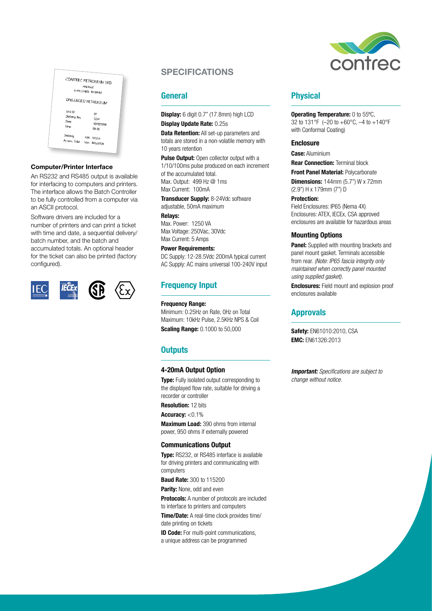|                                         | CONTREC PETROLEUM LTD<br><b>HALIFAX</b><br>(+44)1422 829944 |
|-----------------------------------------|-------------------------------------------------------------|
|                                         | UNLEADED PETROLEUM                                          |
| Unit ID<br>Delivery No.<br>Date<br>Time | 01<br>1234<br>16/01/2018<br>09:35                           |
| Delivery                                | Ltrs 1002.0<br>Accum Total Ltrs 485,625.0                   |

### Computer/Printer Interface

An RS232 and RS485 output is available for interfacing to computers and printers. The interface allows the Batch Controller to be fully controlled from a computer via an ASCII protocol.

Software drivers are included for a number of printers and can print a ticket with time and date, a sequential delivery/ batch number, and the batch and accumulated totals. An optional header for the ticket can also be printed (factory configured).



# **General**

Display: 6 digit 0.7" (17.8mm) high LCD Display Update Rate: 0.25s

**Data Retention:** All set-up parameters and totals are stored in a non-volatile memory with 10 years retention

Pulse Output: Open collector output with a 1/10/100ms pulse produced on each increment of the accumulated total. Max. Output: 499 Hz @ 1ms Max Current: 100mA

Transducer Supply: 8-24Vdc software adjustable, 50mA maximum

Relays:

Max. Power: 1250 VA Max Voltage: 250Vac, 30Vdc Max Current: 5 Amps

### Power Requirements:

DC Supply: 12-28.5Vdc 200mA typical current AC Supply: AC mains universal 100-240V input

# Frequency Input

### Frequency Range:

Minimum: 0.25Hz on Rate, 0Hz on Total Maximum: 10kHz Pulse, 2.5KHz NPS & Coil **Scaling Range: 0.1000 to 50,000** 

# **Outputs**

### 4-20mA Output Option

**Type:** Fully isolated output corresponding to the displayed flow rate, suitable for driving a recorder or controller

Resolution: 12 bits

Accuracy: <0.1%

Maximum Load: 390 ohms from internal power, 950 ohms if externally powered

### Communications Output

**Type:** RS232, or RS485 interface is available for driving printers and communicating with computers

**Baud Rate: 300 to 115200** 

Parity: None, odd and even

Protocols: A number of protocols are included to interface to printers and computers

Time/Date: A real-time clock provides time/ date printing on tickets

**ID Code:** For multi-point communications, a unique address can be programmed



# Physical

**Operating Temperature:** 0 to 55°C, 32 to 131°F (–20 to +60°C, –4 to +140°F with Conformal Coating)

### **Enclosure**

**Case: Aluminium** 

**Rear Connection: Terminal block** 

Front Panel Material: Polycarbonate

**Dimensions:** 144mm (5.7") W x 72mm (2.9") H x 179mm (7") D

Protection: Field Enclosures: IP65 (Nema 4X) Enclosures: ATEX, IECEx, CSA approved enclosures are available for hazardous areas

## Mounting Options

**Panel:** Supplied with mounting brackets and panel mount gasket. Terminals accessible from rear. *(Note: IP65 fascia integrity only maintained when correctly panel mounted using supplied gasket).*

Enclosures: Field mount and explosion proof enclosures available

# Approvals

Safety: EN61010:2010, CSA EMC: EN61326:2013

**Important:** Specifications are subject to *change without notice.*